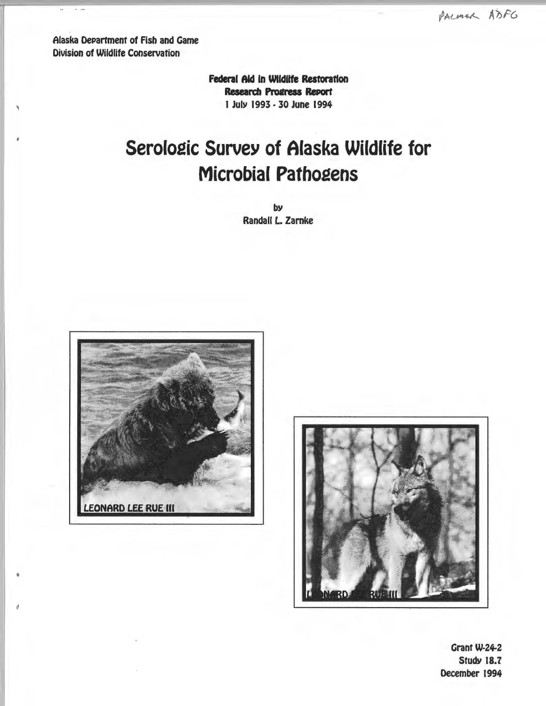Alaska Department of Fish and Game **Division of Wildlife Conservation** 

> Federal Aid in Wildlife Restoration **Research Progress Report** 1 July 1993 - 30 June 1994

# Serologic Survey of Alaska Wildlife for **Microbial Pathogens**

by Randall L. Zarnke





Grant W-24-2 **Study 18.7** December 1994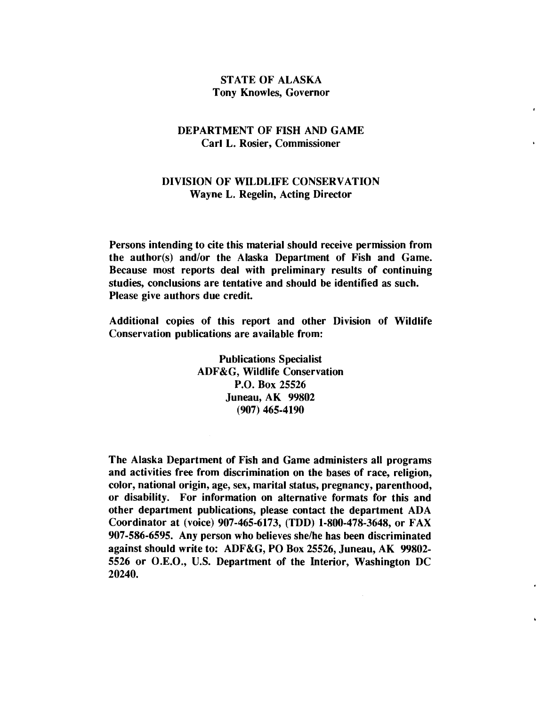## STATE OF ALASKA Tony Knowles, Governor

## DEPARTMENT OF FISH AND GAME Carl L. Rosier, Commissioner

## DIVISION OF WILDLIFE CONSERVATION Wayne L. Regelin, Acting Director

Persons intending to cite this material should receive permission from the author(s) and/or the Alaska Department of Fish and Game. Because most reports deal with preliminary results of continuing studies, conclusions are tentative and should be identified as such. Please give authors due credit.

Additional copies of this report and other Division of Wildlife Conservation publications are available from:

> Publications Specialist ADF&G, Wildlife Conservation P.O. Box 25526 Juneau, AK 99802 (907) 465-4190

The Alaska Department of Fish and Game administers all programs and activities free from discrimination on the bases of race, religion, color, national origin, age, sex, marital status, pregnancy, parenthood, or disability. For information on alternative formats for this and other department publications, please contact the department ADA Coordinator at (voice) 907-465-6173, (TDD) 1-800-478-3648, or FAX 907-586-6595. Any person who believes she/he has been discriminated against should write to: ADF&G, PO Box 25526, Juneau, AK 99802 5526 or O.E.O., U.S. Department of the Interior, Washington DC 20240.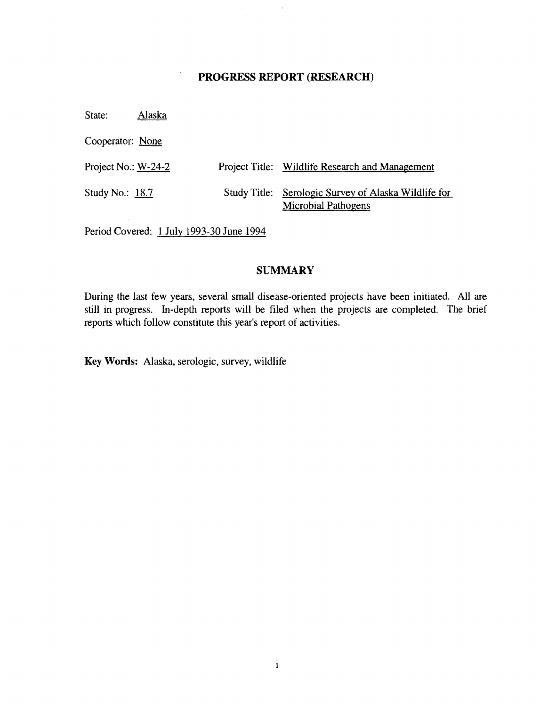## PROGRESS REPORT (RESEARCH)

State: Alaska

Cooperator: None

| Project No.: $W-24-2$ | Project Title: Wildlife Research and Management                                    |
|-----------------------|------------------------------------------------------------------------------------|
| Study No.: $18.7$     | Study Title: Serologic Survey of Alaska Wildlife for<br><b>Microbial Pathogens</b> |

Period Covered: 1 July 1993-30 June 1994

## **SUMMARY**

During the last few years, several small disease-oriented projects have been initiated. All are still in progress. In-depth reports will be filed when the projects are completed. The brief reports which follow constitute this year's report of activities.

Key Words: Alaska, serologic, survey, wildlife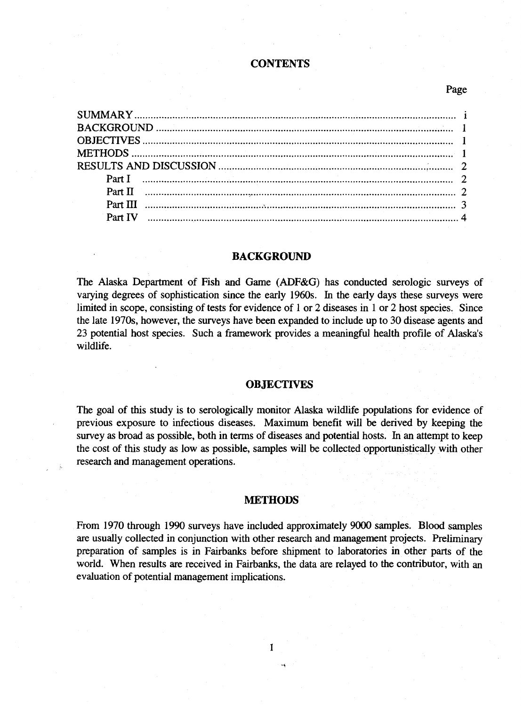#### **CONTENTS**

### Page

| Part II $\ldots$ $\ldots$ $\ldots$ $\ldots$ $\ldots$ $\ldots$ $\ldots$ $\ldots$ $\ldots$ $\ldots$ $\ldots$ $\ldots$ $\ldots$ $\ldots$ $\ldots$ $\ldots$ $\ldots$ $\ldots$ $\ldots$ $\ldots$ $\ldots$ $\ldots$ |  |
|---------------------------------------------------------------------------------------------------------------------------------------------------------------------------------------------------------------|--|
|                                                                                                                                                                                                               |  |
|                                                                                                                                                                                                               |  |
|                                                                                                                                                                                                               |  |

#### **BACKGROUND**

The Alaska Department of Fish and Game (ADF&G) has conducted serologic surveys of varying degrees of sophistication since the early 1960s. In the early days these surveys were limited in scope, consisting of tests for evidence of 1 or 2 diseases in 1 or 2 host species. Since the late 1970s, however, the surveys have been expanded to include up to 30 disease agents and 23 potential host species. Such a framework provides a meaningful health profile of Alaska's wildlife.

#### **OBJECTIVES**

The goal of this study is to serologically monitor Alaska wildlife populations for evidence of previous exposure to infectious diseases. Maximum benefit will be derived by keeping the survey as broad as possible, both in terms of diseases and potential hosts. In an attempt to keep the cost of this study as low as possible, samples will be collected opportunistically with other research and management operations.

#### **METHODS**

From 1970 through 1990 surveys have included approximately 9000 samples. Blood samples are usually collected in conjunction with other research and management projects. Preliminary preparation of samples is in Fairbanks before shipment to laboratories in other parts of the world. When results are received in Fairbanks, the data are relayed to the contributor, with an evaluation of potential management implications.

I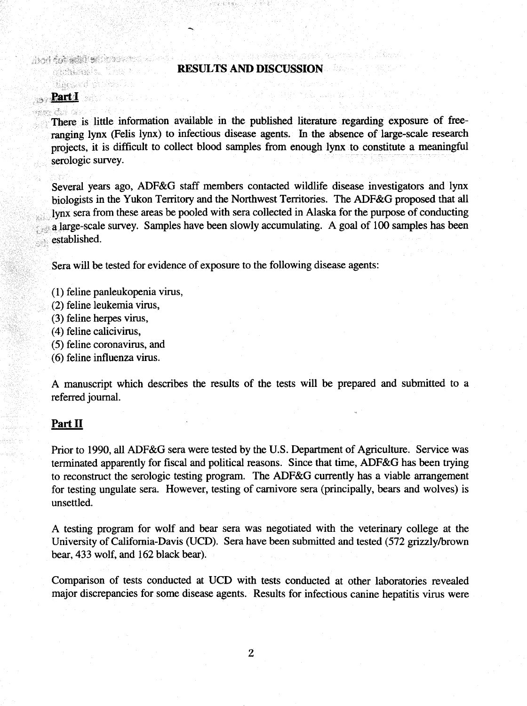#### **RESULTS AND DISCUSSION**

**Machine Albert** 

HAR ASSESSMENT ROLL OF THE REAL PROPERTY. Range (1988)

## **Part 1**

S.

## รอยการให้กำลัง

There is little information available in the published literature regarding exposure of free . ranging lynx (Felis lynx) to infectious disease agents. In the absence of large-scale research projects, it is difficult to collect blood samples from enough lynx to constitute a meaningful serologic survey.

Several years ago, ADF&G staff members contacted wildlife disease investigators and lynx biologists in the Yukon Territory and the Northwest Territories. The ADF&G proposed that all lynx sera from these areas be pooled with sera collected in Alaska for the purpose of conducting a large-scale survey. Samples have been slowly accumulating. A goal of 100 samples has been established.

Sera will be tested for evidence of exposure to the following disease agents:

- (1) feline panleukopenia virus,
- (2) feline leukemia virus,
- (3) feline herpes virus,
- (4) feline calicivirus,
- (5) feline coronavirus, and
- (6) feline influenza virus.

A manuscript which describes the results of the tests will be prepared and submitted to a referred journal.

#### **Part II**

Prior to 1990, all ADF&G sera were tested by the U.S. Department of Agriculture. Service was terminated apparently for fiscal and political reasons. Since that time, ADF&G has been trying to reconstruct the serologic testing program. The ADF&G currently has a viable arrangement for testing ungulate sera. However, testing of carnivore sera (principally, bears and wolves) is unsettled.

A testing program for wolf and bear sera was negotiated with the veterinary college at the University of California-Davis (UCD). Sera have been submitted and tested (572 grizzly/brown bear, 433 wolf, and 162 black bear).

Comparison of tests conducted at UCD with tests conducted at other laboratories revealed major discrepancies for some disease agents. Results for infectious canine hepatitis virus were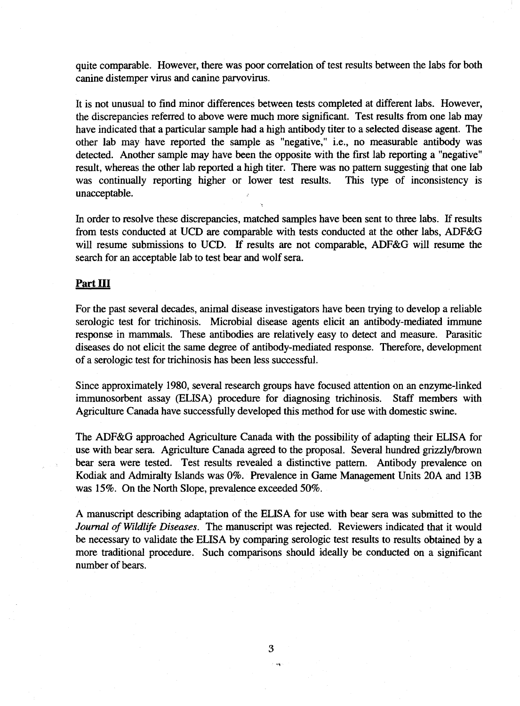quite comparable. However, there was poor correlation of test results between the labs for both canine distemper virus and canine parvovirus.

It is not unusual to find minor differences between tests completed at different labs. However, the discrepancies referred to above were much more significant. Test results from one lab may have indicated that a particular sample had a high antibody titer to a selected disease agent. The other lab may have reported the sample as "negative," i.e., no measurable antibody was detected. Another sample may have been the opposite with the first lab reporting a "negative" result, whereas the other lab reported a high titer. There was no pattern suggesting that one lab was continually reporting higher or lower test results. This type of inconsistency is unacceptable.

In order to resolve these discrepancies, matched samples have been sent to three labs. If results from tests conducted at UCD are comparable with tests conducted at the other labs, ADF&G will resume submissions to UCD. If results are not comparable, ADF&G will resume the search for an acceptable lab to test bear and wolf sera.

#### **Part** III

For the past several decades, animal disease investigators have been trying to develop a reliable serologic test for trichinosis. Microbial disease agents elicit an antibody-mediated immune response in mammals. These antibodies are relatively easy to detect and measure. Parasitic diseases do not elicit the same degree of antibody-mediated response. Therefore, development of a serologic test for trichinosis has been less successful.

Since approximately 1980, several research groups have focused attention on an enzyme-linked immunosorbent assay (ELISA) procedure for diagnosing trichinosis. Staff members with Agriculture Canada have successfully developed this method for use with domestic swine.

The ADF&G approached Agriculture Canada with the possibility of adapting their ELISA for use with bear sera. Agriculture Canada agreed to the proposal. Several hundred grizzly/brown bear sera were tested. Test results revealed a distinctive pattern. Antibody prevalence on Kodiak and Admiralty Islands was 0%. Prevalence in Game Management Units 20A and 13B was 15%. On the North Slope, prevalence exceeded 50%.

A manuscript describing adaptation of the ELISA for use with bear sera was submitted to the *Journal of Wildlife Diseases.* The manuscript was rejected. Reviewers indicated that it would be necessary to validate the ELISA by comparing serologic test results to results obtained by a more traditional procedure. Such comparisons should ideally be conducted on a significant number of bears.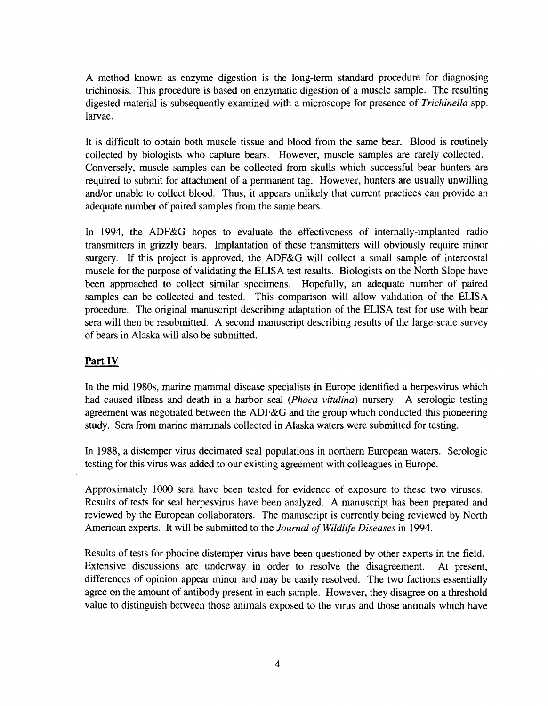A method known as enzyme digestion is the long-term standard procedure for diagnosing trichinosis. This procedure is based on enzymatic digestion of a muscle sample. The resulting digested material is subsequently examined with a microscope for presence of *Trichinella* spp. larvae.

It is difficult to obtain both muscle tissue and blood from the same bear. Blood is routinely collected by biologists who capture bears. However, muscle samples are rarely collected. Conversely, muscle samples can be collected from skulls which successful bear hunters are required to submit for attachment of a permanent tag. However, hunters are usually unwilling and/or unable to collect blood. Thus, it appears unlikely that current practices can provide an adequate number of paired samples from the same bears.

In 1994, the ADF&G hopes to evaluate the effectiveness of internally-implanted radio transmitters in grizzly bears. Implantation of these transmitters will obviously require minor surgery. If this project is approved, the ADF&G will collect a small sample of intercostal muscle for the purpose of validating the ELISA test results. Biologists on the North Slope have been approached to collect similar specimens. Hopefully, an adequate number of paired samples can be collected and tested. This comparison will allow validation of the ELISA procedure. The original manuscript describing adaptation of the ELISA test for use with bear sera will then be resubmitted. A second manuscript describing results of the large-scale survey of bears in Alaska will also be submitted.

## **Part IV**

In the mid 1980s, marine mammal disease specialists in Europe identified a herpesvirus which had caused illness and death in a harbor seal *(Phoca vitulina)* nursery. A serologic testing agreement was negotiated between the ADF&G and the group which conducted this pioneering study. Sera from marine mammals collected in Alaska waters were submitted for testing.

In 1988, a distemper virus decimated seal populations in northern European waters. Serologic testing for this virus was added to our existing agreement with colleagues in Europe.

Approximately 1000 sera have been tested for evidence of exposure to these two viruses. Results of tests for seal herpesvirus have been analyzed. A manuscript has been prepared and reviewed by the European collaborators. The manuscript is currently being reviewed by North American experts. It will be submitted to the *Journal of Wildlife Diseases* in 1994.

Results of tests for phocine distemper virus have been questioned by other experts in the field. Extensive discussions are underway in order to resolve the disagreement. At present, differences of opinion appear minor and may be easily resolved. The two factions essentially agree on the amount of antibody present in each sample. However, they disagree on a threshold value to distinguish between those animals exposed to the virus and those animals which have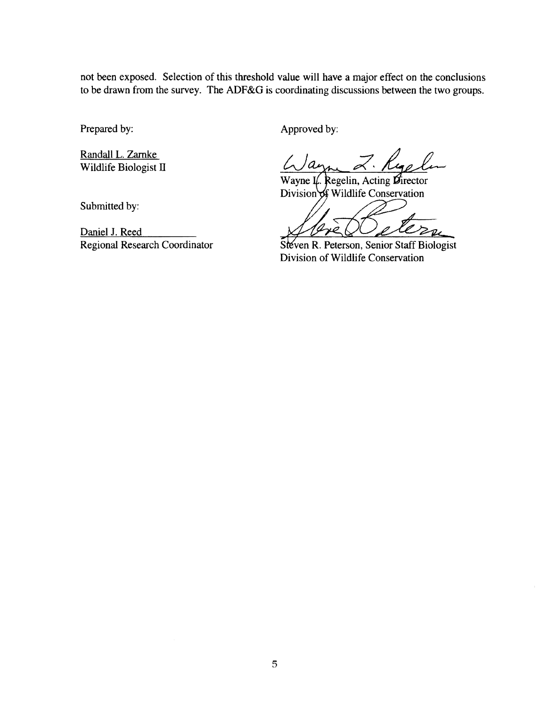not been exposed. Selection of this threshold value will have a major effect on the conclusions to be drawn from the survey. The ADF&G is coordinating discussions between the two groups.

Prepared by:

Randall L. Zamke Wildlife Biologist II Approved by:

Ruelen Z.

Wayne I. Regelin, Acting  $\mathcal{G}_{\text{irector}}$ Division of Wildlife Conservation

Division of Wildlife Conservation Steven R. Peterson, Senior Staff Biologist

Submitted by:

Daniel J. Reed Regional Research Coordinator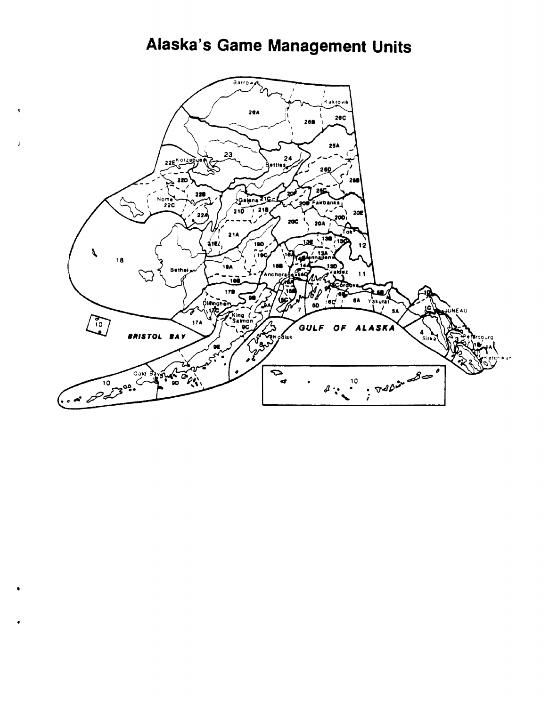## Alaska's Game Management Units

 $\pmb{\mathsf{s}}$ 

 $\overline{1}$